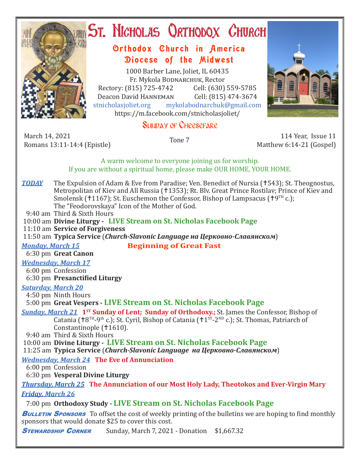

# ST. NICHOLAS QRTHODOX CHURCH

## Orthodox Church in America Diocese of the Midwest

1000 Barber Lane, Joliet, IL 60435 Fr. Mykola Bodnarchuk, Rector Rectory: (815) 725-4742 Cell: (630) 559-5785<br>Deacon David HANNEMAN Cell: (815) 474-3674 Deacon David HANNEMAN<br>stnicholasioliet.org mykola mykolabodnarchuk@gmail.com https://m.facebook.com/stnicholasjoliet/

## SUNDAY OF CHEESEFARE

March 14, 2021 March 14, 2021 114 Year, Issue 11<br>Romans 13:11-14:4 (Epistle) Tone 7 114 Year, Issue 11

Matthew 6:14-21 (Gospel)

A warm welcome to everyone joining us for worship. If you are without a spiritual home, please make OUR HOME, YOUR HOME.

**TODAY** The Expulsion of Adam & Eve from Paradise; Ven. Benedict of Nursia (†543); St. Theognostus, Metropolitan of Kiev and All Russia (†1353); Rt. Blv. Great Prince Rostilav; Prince of Kiev and Smolensk († 1167); St. Euschemon the Confessor, Bishop of Lampsacus (†  $9<sup>TH</sup>$  c.); The "Feodorovskaya" Icon of the Mother of God.

9:40 am Third & Sixth Hours

10:00 am **Divine Liturgy - LIVE Stream on St. Nicholas Facebook Page**

11:10 am **Service of Forgiveness**

11:50 am **Typica Service** (*Church-Slavonic Language на Церковно-Славянском*)

*Monday, March 15* **Beginning of Great Fast**

6:30 pm **Great Canon**

#### *Wednesday, March 17*

 6:00 pm Confession 6:30 pm **Presanctified Liturgy**

### *Saturday, March 20*

4:50 pm Ninth Hours

5:00 pm **Great Vespers - LIVE Stream on St. Nicholas Facebook Page**

**Sunday, March 21 <sup>1st</sup> Sunday of Lent; Sunday of Orthodoxy.;** St. James the Confessor, Bishop of Catania ( $8^{TH}-9^{th}$  c.); St. Cyril, Bishop of Catania ( $1^{ST}-2^{ND}$  c.); St. Thomas, Patriarch of Constantinople (+1610).

9:40 am Third & Sixth Hours

10:00 am **Divine Liturgy - LIVE Stream on St. Nicholas Facebook Page**

11:25 am **Typica Service** (*Church-Slavonic Language на Церковно-Славянском*)

### *Wednesday, March 24* **The Eve of Annunciation**

6:00 pm Confession

6:30 pm **Vesperal Divine Liturgy**

*Thursday, March 25* **The Annunciation of our Most Holy Lady, Theotokos and Ever-Virgin Mary** *Friday, March 26* 

7:00 pm **Orthodoxy Study - LIVE Stream on St. Nicholas Facebook Page**

**BULLETIN SPONSORS** To offset the cost of weekly printing of the bulletins we are hoping to find monthly sponsors that would donate \$25 to cover this cost.

**STEWARDSHIP CORNER** Sunday, March 7, 2021 - Donation \$1,667.32